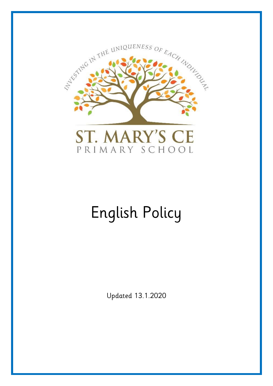

# English Policy

Updated 13.1.2020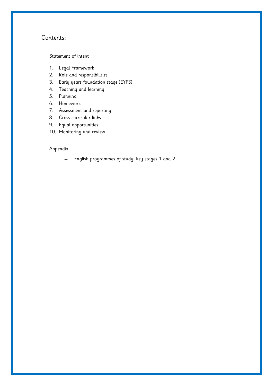# Contents:

[Statement of intent](#page-2-0)

- 1. [Legal Framework](#page-3-0)
- 2. [Role and responsibilities](#page-3-1)
- 3. [Early years foundation](#page-4-0) stage (EYFS)
- 4. [Teaching and learning](#page-5-0)
- 5. [Planning](#page-6-0)
- 6. [Homework](#page-8-0)
- 7. [Assessment and reporting](#page-8-1)
- 8. [Cross-curricular links](#page-10-0)
- 9. [Equal opportunities](#page-11-0)
- 10. [Monitoring and review](#page-11-1)

## Appendix

̶ [English programmes of study: key stages 1 and 2](#page-12-0)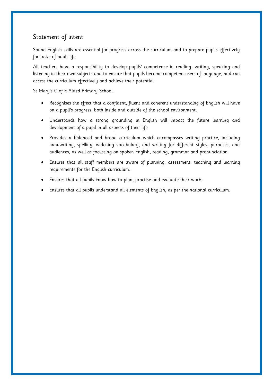# <span id="page-2-0"></span>Statement of intent

Sound English skills are essential for progress across the curriculum and to prepare pupils effectively for tasks of adult life.

All teachers have a responsibility to develop pupils' competence in reading, writing, speaking and listening in their own subjects and to ensure that pupils become competent users of language, and can access the curriculum effectively and achieve their potential.

St Mary's C of E Aided Primary School:

- Recognises the effect that a confident, fluent and coherent understanding of English will have on a pupil's progress, both inside and outside of the school environment.
- Understands how a strong grounding in English will impact the future learning and development of a pupil in all aspects of their life
- Provides a balanced and broad curriculum which encompasses writing practice, including handwriting, spelling, widening vocabulary, and writing for different styles, purposes, and audiences, as well as focussing on spoken English, reading, grammar and pronunciation.
- Ensures that all staff members are aware of planning, assessment, teaching and learning requirements for the English curriculum.
- Ensures that all pupils know how to plan, practise and evaluate their work.
- Ensures that all pupils understand all elements of English, as per the national curriculum.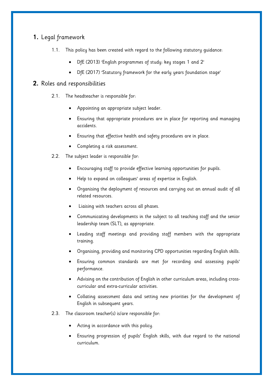## <span id="page-3-0"></span>**1.** Legal framework

- 1.1. This policy has been created with regard to the following statutory guidance:
	- DfE (2013) 'English programmes of study: key stages 1 and 2'
	- DfE (2017) 'Statutory framework for the early years foundation stage'

### <span id="page-3-1"></span>**2.** Roles and responsibilities

- 2.1. The headteacher is responsible for:
	- Appointing an appropriate subject leader.
	- Ensuring that appropriate procedures are in place for reporting and managing accidents.
	- Ensuring that effective health and safety procedures are in place.
	- Completing a risk assessment.
- 2.2. The subject leader is responsible for:
	- Encouraging staff to provide effective learning opportunities for pupils.
	- Help to expand on colleagues' areas of expertise in English.
	- Organising the deployment of resources and carrying out an annual audit of all related resources.
	- Liaising with teachers across all phases.
	- Communicating developments in the subject to all teaching staff and the senior leadership team (SLT), as appropriate.
	- Leading staff meetings and providing staff members with the appropriate training.
	- Organising, providing and monitoring CPD opportunities regarding English skills.
	- Ensuring common standards are met for recording and assessing pupils' performance.
	- Advising on the contribution of English in other curriculum areas, including crosscurricular and extra-curricular activities.
	- Collating assessment data and setting new priorities for the development of English in subsequent years.
- 2.3. The classroom teacher(s) is/are responsible for:
	- Acting in accordance with this policy.
	- Ensuring progression of pupils' English skills, with due regard to the national curriculum.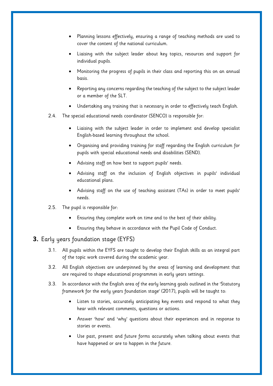- Planning lessons effectively, ensuring a range of teaching methods are used to cover the content of the national curriculum.
- Liaising with the subject leader about key topics, resources and support for individual pupils.
- Monitoring the progress of pupils in their class and reporting this on an annual basis.
- Reporting any concerns regarding the teaching of the subject to the subject leader or a member of the SLT.
- Undertaking any training that is necessary in order to effectively teach English.
- 2.4. The special educational needs coordinator (SENCO) is responsible for:
	- Liaising with the subject leader in order to implement and develop specialist English-based learning throughout the school.
	- Organising and providing training for staff regarding the English curriculum for pupils with special educational needs and disabilities (SEND).
	- Advising staff on how best to support pupils' needs.
	- Advising staff on the inclusion of English objectives in pupils' individual educational plans.
	- Advising staff on the use of teaching assistant (TAs) in order to meet pupils' needs.
- 2.5. The pupil is responsible for:
	- Ensuring they complete work on time and to the best of their ability.
	- Ensuring they behave in accordance with the Pupil Code of Conduct.

### <span id="page-4-0"></span>**3.** Early years foundation stage (EYFS)

- 3.1. All pupils within the EYFS are taught to develop their English skills as an integral part of the topic work covered during the academic year.
- 3.2. All English objectives are underpinned by the areas of learning and development that are required to shape educational programmes in early years settings.
- 3.3. In accordance with the English area of the early learning goals outlined in the 'Statutory framework for the early years foundation stage' (2017), pupils will be taught to:
	- Listen to stories, accurately anticipating key events and respond to what they hear with relevant comments, questions or actions.
	- Answer 'how' and 'why' questions about their experiences and in response to stories or events.
	- Use past, present and future forms accurately when talking about events that have happened or are to happen in the future.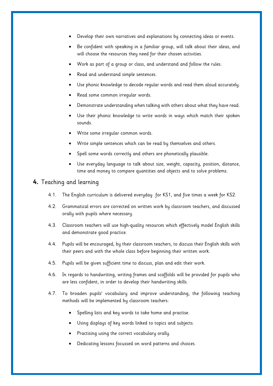- Develop their own narratives and explanations by connecting ideas or events.
- Be confident with speaking in a familiar group, will talk about their ideas, and will choose the resources they need for their chosen activities.
- Work as part of a group or class, and understand and follow the rules.
- Read and understand simple sentences.
- Use phonic knowledge to decode regular words and read them aloud accurately.
- Read some common irregular words.
- Demonstrate understanding when talking with others about what they have read.
- Use their phonic knowledge to write words in ways which match their spoken sounds.
- Write some irregular common words.
- Write simple sentences which can be read by themselves and others.
- Spell some words correctly and others are phonetically plausible.
- Use everyday language to talk about size, weight, capacity, position, distance, time and money to compare quantities and objects and to solve problems.

#### <span id="page-5-0"></span>**4.** Teaching and learning

- 4.1. The English curriculum is delivered everyday for KS1, and five times a week for KS2.
- 4.2. Grammatical errors are corrected on written work by classroom teachers, and discussed orally with pupils where necessary.
- 4.3. Classroom teachers will use high-quality resources which effectively model English skills and demonstrate good practice.
- 4.4. Pupils will be encouraged, by their classroom teachers, to discuss their English skills with their peers and with the whole class before beginning their written work.
- 4.5. Pupils will be given sufficient time to discuss, plan and edit their work.
- 4.6. In regards to handwriting, writing frames and scaffolds will be provided for pupils who are less confident, in order to develop their handwriting skills.
- 4.7. To broaden pupils' vocabulary and improve understanding, the following teaching methods will be implemented by classroom teachers:
	- Spelling lists and key words to take home and practise.
	- Using displays of key words linked to topics and subjects.
	- Practising using the correct vocabulary orally.
	- Dedicating lessons focussed on word patterns and choices.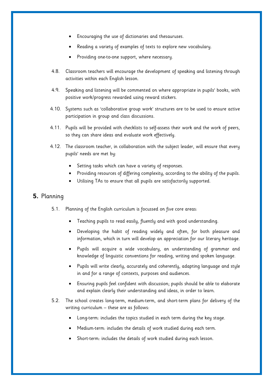- Encouraging the use of dictionaries and thesauruses.
- Reading a variety of examples of texts to explore new vocabulary.
- Providing one-to-one support, where necessary.
- 4.8. Classroom teachers will encourage the development of speaking and listening through activities within each English lesson.
- 4.9. Speaking and listening will be commented on where appropriate in pupils' books, with positive work/progress rewarded using reward stickers.
- 4.10. Systems such as 'collaborative group work' structures are to be used to ensure active participation in group and class discussions.
- 4.11. Pupils will be provided with checklists to self-assess their work and the work of peers, so they can share ideas and evaluate work effectively.
- 4.12. The classroom teacher, in collaboration with the subject leader, will ensure that every pupils' needs are met by:
	- Setting tasks which can have a variety of responses.
	- Providing resources of differing complexity, according to the ability of the pupils.
	- Utilising TAs to ensure that all pupils are satisfactorily supported.

#### <span id="page-6-0"></span>**5.** Planning

- 5.1. Planning of the English curriculum is focussed on five core areas:
	- Teaching pupils to read easily, fluently and with good understanding.
	- Developing the habit of reading widely and often, for both pleasure and information, which in turn will develop an appreciation for our literary heritage.
	- Pupils will acquire a wide vocabulary, an understanding of grammar and knowledge of linguistic conventions for reading, writing and spoken language.
	- Pupils will write clearly, accurately and coherently, adapting language and style in and for a range of contexts, purposes and audiences.
	- Ensuring pupils feel confident with discussion; pupils should be able to elaborate and explain clearly their understanding and ideas, in order to learn.
- 5.2. The school creates long-term, medium-term, and short-term plans for delivery of the writing curriculum – these are as follows:
	- Long-term: includes the topics studied in each term during the key stage.
	- Medium-term: includes the details of work studied during each term.
	- Short-term: includes the details of work studied during each lesson.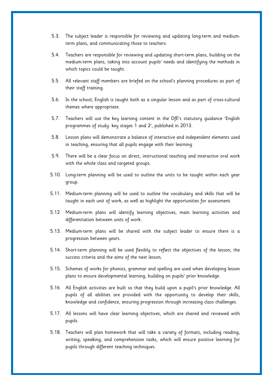- 5.3. The subject leader is responsible for reviewing and updating long-term and mediumterm plans, and communicating those to teachers.
- 5.4. Teachers are responsible for reviewing and updating short-term plans, building on the medium-term plans, taking into account pupils' needs and identifying the methods in which topics could be taught.
- 5.5. All relevant staff members are briefed on the school's planning procedures as part of their staff training.
- 5.6. In the school, English is taught both as a singular lesson and as part of cross-cultural themes where appropriate.
- 5.7. Teachers will use the key learning content in the DfE's statutory guidance 'English programmes of study: key stages 1 and 2', published in 2013.
- 5.8. Lesson plans will demonstrate a balance of interactive and independent elements used in teaching, ensuring that all pupils engage with their learning.
- 5.9. There will be a clear focus on direct, instructional teaching and interactive oral work with the whole class and targeted groups.
- 5.10. Long-term planning will be used to outline the units to be taught within each year group.
- 5.11. Medium-term planning will be used to outline the vocabulary and skills that will be taught in each unit of work, as well as highlight the opportunities for assessment.
- 5.12. Medium-term plans will identify learning objectives, main learning activities and differentiation between units of work.
- 5.13. Medium-term plans will be shared with the subject leader to ensure there is a progression between years.
- 5.14. Short-term planning will be used flexibly to reflect the objectives of the lesson, the success criteria and the aims of the next lesson.
- 5.15. Schemes of works for phonics, grammar and spelling are used when developing lesson plans to ensure developmental learning, building on pupils' prior knowledge.
- 5.16. All English activities are built so that they build upon a pupil's prior knowledge. All pupils of all abilities are provided with the opportunity to develop their skills, knowledge and confidence, ensuring progression through increasing class challenges.
- 5.17. All lessons will have clear learning objectives, which are shared and reviewed with pupils.
- 5.18. Teachers will plan homework that will take a variety of formats, including reading, writing, speaking, and comprehension tasks, which will ensure positive learning for pupils through different teaching techniques.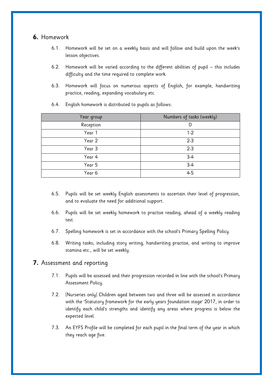## <span id="page-8-0"></span>**6.** Homework

- 6.1. Homework will be set on a weekly basis and will follow and build upon the week's lesson objectives.
- 6.2. Homework will be varied according to the different abilities of pupil this includes difficulty and the time required to complete work.
- 6.3. Homework will focus on numerous aspects of English, for example, handwriting practice, reading, expanding vocabulary etc.

| Year group | Numbers of tasks (weekly) |
|------------|---------------------------|
| Reception  | 0                         |
| Year 1     | $1 - 2$                   |
| Year 2     | $2 - 3$                   |
| Year 3     | $2 - 3$                   |
| Year 4     | $3-4$                     |
| Year 5     | $3-4$                     |
| Year 6     | $4 - 5$                   |

6.4. English homework is distributed to pupils as follows:

- 6.5. Pupils will be set weekly English assessments to ascertain their level of progression, and to evaluate the need for additional support.
- 6.6. Pupils will be set weekly homework to practise reading, ahead of a weekly reading test.
- 6.7. Spelling homework is set in accordance with the school's Primary Spelling Policy.
- 6.8. Writing tasks; including story writing, handwriting practise, and writing to improve stamina etc., will be set weekly.

# <span id="page-8-1"></span>**7.** Assessment and reporting

- 7.1. Pupils will be assessed and their progression recorded in line with the school's Primary Assessment Policy.
- 7.2. [Nurseries only] Children aged between two and three will be assessed in accordance with the 'Statutory framework for the early years foundation stage' 2017, in order to identify each child's strengths and identify any areas where progress is below the expected level.
- 7.3. An EYFS Profile will be completed for each pupil in the final term of the year in which they reach age five.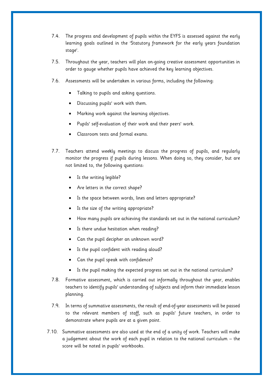- 7.4. The progress and development of pupils within the EYFS is assessed against the early learning goals outlined in the 'Statutory framework for the early years foundation stage'.
- 7.5. Throughout the year, teachers will plan on-going creative assessment opportunities in order to gauge whether pupils have achieved the key learning objectives.
- 7.6. Assessments will be undertaken in various forms, including the following:
	- Talking to pupils and asking questions.
	- Discussing pupils' work with them.
	- Marking work against the learning objectives.
	- Pupils' self-evaluation of their work and their peers' work.
	- Classroom tests and formal exams.
- 7.7. Teachers attend weekly meetings to discuss the progress of pupils, and regularly monitor the progress if pupils during lessons. When doing so, they consider, but are not limited to, the following questions:
	- Is the writing legible?
	- Are letters in the correct shape?
	- Is the space between words, lines and letters appropriate?
	- Is the size of the writing appropriate?
	- How many pupils are achieving the standards set out in the national curriculum?
	- Is there undue hesitation when reading?
	- Can the pupil decipher an unknown word?
	- Is the pupil confident with reading aloud?
	- Can the pupil speak with confidence?
	- Is the pupil making the expected progress set out in the national curriculum?
- 7.8. Formative assessment, which is carried out informally throughout the year, enables teachers to identify pupils' understanding of subjects and inform their immediate lesson planning.
- 7.9. In terms of summative assessments, the result of end-of-year assessments will be passed to the relevant members of staff, such as pupils' future teachers, in order to demonstrate where pupils are at a given point.
- 7.10. Summative assessments are also used at the end of a unity of work. Teachers will make a judgement about the work of each pupil in relation to the national curriculum – the score will be noted in pupils' workbooks.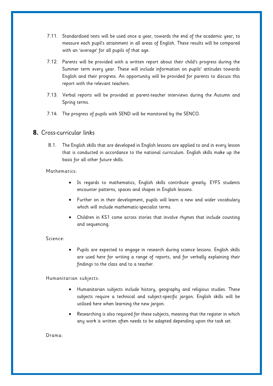- 7.11. Standardised tests will be used once a year, towards the end of the academic year, to measure each pupil's attainment in all areas of English. These results will be compared with an 'average' for all pupils of that age.
- 7.12. Parents will be provided with a written report about their child's progress during the Summer term every year. These will include information on pupils' attitudes towards English and their progress. An opportunity will be provided for parents to discuss this report with the relevant teachers.
- 7.13. Verbal reports will be provided at parent-teacher interviews during the Autumn and Spring terms.
- 7.14. The progress of pupils with SEND will be monitored by the SENCO.

### <span id="page-10-0"></span>**8.** Cross-curricular links

8.1. The English skills that are developed in English lessons are applied to and in every lesson that is conducted in accordance to the national curriculum. English skills make up the basis for all other future skills.

Mathematics:

- In regards to mathematics, English skills contribute greatly. EYFS students encounter patterns, spaces and shapes in English lessons.
- Further on in their development, pupils will learn a new and wider vocabulary which will include mathematic-specialist terms.
- Children in KS1 come across stories that involve rhymes that include counting and sequencing.

#### Science:

 Pupils are expected to engage in research during science lessons. English skills are used here for writing a range of reports, and for verbally explaining their findings to the class and to a teacher.

Humanitarian subjects:

- Humanitarian subjects include history, geography and religious studies. These subjects require a technical and subject-specific jargon. English skills will be utilised here when learning the new jargon.
- Researching is also required for these subjects, meaning that the register in which any work is written often needs to be adapted depending upon the task set.

Drama: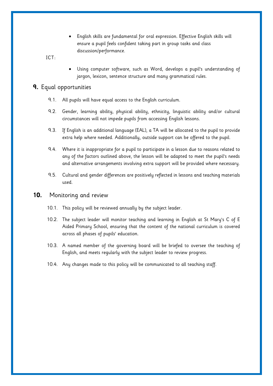English skills are fundamental for oral expression. Effective English skills will ensure a pupil feels confident taking part in group tasks and class discussion/performance.

ICT:

 Using computer software, such as Word, develops a pupil's understanding of jargon, lexicon, sentence structure and many grammatical rules.

## <span id="page-11-0"></span>**9.** Equal opportunities

- 9.1. All pupils will have equal access to the English curriculum.
- 9.2. Gender, learning ability, physical ability, ethnicity, linguistic ability and/or cultural circumstances will not impede pupils from accessing English lessons.
- 9.3. If English is an additional language (EAL), a TA will be allocated to the pupil to provide extra help where needed. Additionally, outside support can be offered to the pupil.
- 9.4. Where it is inappropriate for a pupil to participate in a lesson due to reasons related to any of the factors outlined above, the lesson will be adapted to meet the pupil's needs and alternative arrangements involving extra support will be provided where necessary.
- 9.5. Cultural and gender differences are positively reflected in lessons and teaching materials used.

## <span id="page-11-1"></span>**10.** Monitoring and review

- 10.1. This policy will be reviewed annually by the subject leader.
- 10.2. The subject leader will monitor teaching and learning in English at St Mary's C of E Aided Primary School, ensuring that the content of the national curriculum is covered across all phases of pupils' education.
- 10.3. A named member of the governing board will be briefed to oversee the teaching of English, and meets regularly with the subject leader to review progress.
- 10.4. Any changes made to this policy will be communicated to all teaching staff.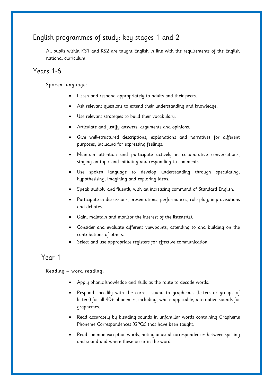# <span id="page-12-0"></span>English programmes of study: key stages 1 and 2

All pupils within KS1 and KS2 are taught English in line with the requirements of the English national curriculum.

# Years 1-6

Spoken language:

- Listen and respond appropriately to adults and their peers.
- Ask relevant questions to extend their understanding and knowledge.
- Use relevant strategies to build their vocabulary.
- Articulate and justify answers, arguments and opinions.
- Give well-structured descriptions, explanations and narratives for different purposes, including for expressing feelings.
- Maintain attention and participate actively in collaborative conversations, staying on topic and initiating and responding to comments.
- Use spoken language to develop understanding through speculating, hypothesising, imagining and exploring ideas.
- Speak audibly and fluently with an increasing command of Standard English.
- Participate in discussions, presentations, performances, role play, improvisations and debates.
- Gain, maintain and monitor the interest of the listener(s).
- Consider and evaluate different viewpoints, attending to and building on the contributions of others.
- Select and use appropriate registers for effective communication.

## Year 1

Reading – word reading:

- Apply phonic knowledge and skills as the route to decode words.
- Respond speedily with the correct sound to graphemes (letters or groups of letters) for all 40+ phonemes, including, where applicable, alternative sounds for graphemes.
- Read accurately by blending sounds in unfamiliar words containing Grapheme Phoneme Correspondences (GPCs) that have been taught.
- Read common exception words, noting unusual correspondences between spelling and sound and where these occur in the word.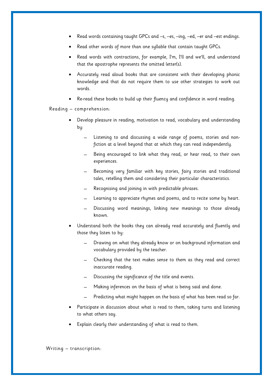- Read words containing taught GPCs and –s, –es, –ing, –ed, –er and –est endings.
- Read other words of more than one syllable that contain taught GPCs.
- Read words with contractions, for example, I'm, I'll and we'll, and understand that the apostrophe represents the omitted letter(s).
- Accurately read aloud books that are consistent with their developing phonic knowledge and that do not require them to use other strategies to work out words.
- Re-read these books to build up their fluency and confidence in word reading.

Reading – comprehension:

- Develop pleasure in reading, motivation to read, vocabulary and understanding by:
	- ̶ Listening to and discussing a wide range of poems, stories and nonfiction at a level beyond that at which they can read independently.
	- ̶ Being encouraged to link what they read, or hear read, to their own experiences.
	- ̶ Becoming very familiar with key stories, fairy stories and traditional tales, retelling them and considering their particular characteristics.
	- ̶ Recognising and joining in with predictable phrases.
	- ̶ Learning to appreciate rhymes and poems, and to recite some by heart.
	- ̶ Discussing word meanings, linking new meanings to those already known.
- Understand both the books they can already read accurately and fluently and those they listen to by:
	- ̶ Drawing on what they already know or on background information and vocabulary provided by the teacher.
	- ̶ Checking that the text makes sense to them as they read and correct inaccurate reading.
	- ̶ Discussing the significance of the title and events.
	- ̶ Making inferences on the basis of what is being said and done.
	- Predicting what might happen on the basis of what has been read so far.
- Participate in discussion about what is read to them, taking turns and listening to what others say.
- Explain clearly their understanding of what is read to them.

Writing – transcription: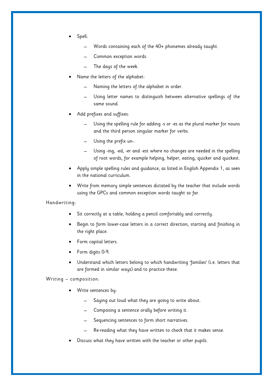- Spell:
	- ̶ Words containing each of the 40+ phonemes already taught.
	- Common exception words.
	- The days of the week.
- Name the letters of the alphabet:
	- ̶ Naming the letters of the alphabet in order.
	- ̶ Using letter names to distinguish between alternative spellings of the same sound.
- Add prefixes and suffixes:
	- ̶ Using the spelling rule for adding -s or -es as the plural marker for nouns and the third person singular marker for verbs.
	- ̶ Using the prefix un-.
	- ̶ Using -ing, -ed, -er and -est where no changes are needed in the spelling of root words, for example helping, helper, eating, quicker and quickest.
- Apply simple spelling rules and guidance, as listed in [English Appendix 1,](https://www.gov.uk/government/uploads/system/uploads/attachment_data/file/335186/PRIMARY_national_curriculum_-_English_220714.pdf) as seen in the national curriculum.
- Write from memory simple sentences dictated by the teacher that include words using the GPCs and common exception words taught so far.

#### Handwriting:

- Sit correctly at a table, holding a pencil comfortably and correctly.
- Begin to form lower-case letters in a correct direction, starting and finishing in the right place.
- Form capital letters.
- Form digits 0-9.
- Understand which letters belong to which handwriting 'families' (i.e. letters that are formed in similar ways) and to practice these.

#### Writing – composition:

- Write sentences by:
	- Saying out loud what they are going to write about.
	- ̶ Composing a sentence orally before writing it.
	- ̶ Sequencing sentences to form short narratives.
	- ̶ Re-reading what they have written to check that it makes sense.
- Discuss what they have written with the teacher or other pupils.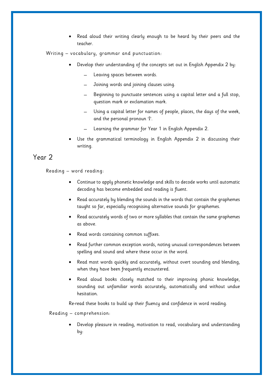Read aloud their writing clearly enough to be heard by their peers and the teacher.

Writing – vocabulary, grammar and punctuation:

- Develop their understanding of the concepts set out in [English Appendix 2](https://www.gov.uk/government/uploads/system/uploads/attachment_data/file/335186/PRIMARY_national_curriculum_-_English_220714.pdf) by:
	- Leaving spaces between words.
	- ̶ Joining words and joining clauses using.
	- ̶ Beginning to punctuate sentences using a capital letter and a full stop, question mark or exclamation mark.
	- ̶ Using a capital letter for names of people, places, the days of the week, and the personal pronoun 'I'.
	- ̶ Learning the grammar for Year 1 in English Appendix 2.
- Use the grammatical terminology in English Appendix 2 in discussing their writing.

# Year 2

Reading – word reading:

- Continue to apply phonetic knowledge and skills to decode works until automatic decoding has become embedded and reading is fluent.
- Read accurately by blending the sounds in the words that contain the graphemes taught so far, especially recognising alternative sounds for graphemes.
- Read accurately words of two or more syllables that contain the same graphemes as above.
- Read words containing common suffixes.
- Read further common exception words, noting unusual correspondences between spelling and sound and where these occur in the word.
- Read most words quickly and accurately, without overt sounding and blending, when they have been frequently encountered.
- Read aloud books closely matched to their improving phonic knowledge, sounding out unfamiliar words accurately, automatically and without undue hesitation.

Re-read these books to build up their fluency and confidence in word reading.

Reading – comprehension:

 Develop pleasure in reading, motivation to read, vocabulary and understanding by: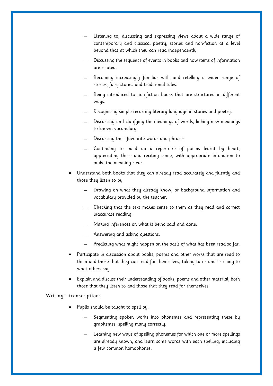- Listening to, discussing and expressing views about a wide range of contemporary and classical poetry, stories and non-fiction at a level beyond that at which they can read independently.
- ̶ Discussing the sequence of events in books and how items of information are related.
- ̶ Becoming increasingly familiar with and retelling a wider range of stories, fairy stories and traditional tales.
- ̶ Being introduced to non-fiction books that are structured in different ways.
- ̶ Recognising simple recurring literary language in stories and poetry.
- ̶ Discussing and clarifying the meanings of words, linking new meanings to known vocabulary.
- ̶ Discussing their favourite words and phrases.
- ̶ Continuing to build up a repertoire of poems learnt by heart, appreciating these and reciting some, with appropriate intonation to make the meaning clear.
- Understand both books that they can already read accurately and fluently and those they listen to by:
	- ̶ Drawing on what they already know, or background information and vocabulary provided by the teacher.
	- ̶ Checking that the text makes sense to them as they read and correct inaccurate reading.
	- ̶ Making inferences on what is being said and done.
	- ̶ Answering and asking questions.
	- Predicting what might happen on the basis of what has been read so far.
- Participate in discussion about books, poems and other works that are read to them and those that they can read for themselves, taking turns and listening to what others say.
- Explain and discuss their understanding of books, poems and other material, both those that they listen to and those that they read for themselves.

#### Writing - transcription:

- Pupils should be taught to spell by:
	- ̶ Segmenting spoken works into phonemes and representing these by graphemes, spelling many correctly.
	- ̶ Learning new ways of spelling phonemes for which one or more spellings are already known, and learn some words with each spelling, including a few common homophones.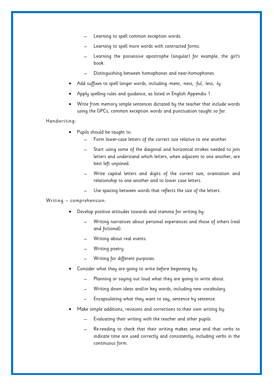- Learning to spell common exception words.
- ̶ Learning to spell more words with contracted forms.
- ̶ Learning the possessive apostrophe (singular) for example, the girl's book.
- ̶ Distinguishing between homophones and near-homophones.
- Add suffixes to spell longer words, including -ment, -ness, -ful, -less, -ly.
- Apply spelling rules and guidance, as listed in English Appendix 1.
- Write from memory simple sentences dictated by the teacher that include words using the GPCs, common exception words and punctuation taught so far.

Handwriting:

- Pupils should be taught to:
	- ̶ Form lower-case letters of the correct size relative to one another.
	- ̶ Start using some of the diagonal and horizontal strokes needed to join letters and understand which letters, when adjacent to one another, are best left unjoined.
	- ̶ Write capital letters and digits of the correct size, orientation and relationship to one another and to lower case letters.
	- Use spacing between words that reflects the size of the letters.

#### Writing – comprehension:

- Develop positive attitudes towards and stamina for writing by:
	- ̶ Writing narratives about personal experiences and those of others (real and fictional).
	- ̶ Writing about real events.
	- ̶ Writing poetry.
	- ̶ Writing for different purposes.
- Consider what they are going to write before beginning by:
	- ̶ Planning or saying out loud what they are going to write about.
	- ̶ Writing down ideas and/or key words, including new vocabulary.
	- ̶ Encapsulating what they want to say, sentence by sentence.
- Make simple additions, revisions and corrections to their own writing by:
	- ̶ Evaluating their writing with the teacher and other pupils.
	- ̶ Re-reading to check that their writing makes sense and that verbs to indicate time are used correctly and consistently, including verbs in the continuous form.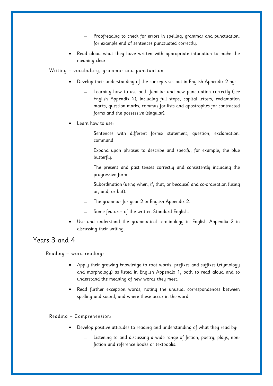- ̶ Proofreading to check for errors in spelling, grammar and punctuation, for example end of sentences punctuated correctly.
- Read aloud what they have written with appropriate intonation to make the meaning clear.

Writing – vocabulary, grammar and punctuation

- Develop their understanding of the concepts set out in English Appendix 2 by:
	- ̶ Learning how to use both familiar and new punctuation correctly (see English Appendix 2), including full stops, capital letters, exclamation marks, question marks, commas for lists and apostrophes for contracted forms and the possessive (singular).
- Learn how to use:
	- Sentences with different forms: statement, question, exclamation, command.
	- ̶ Expand upon phrases to describe and specify, for example, the blue butterfly.
	- ̶ The present and past tenses correctly and consistently including the progressive form.
	- ̶ Subordination (using when, if, that, or because) and co-ordination (using or, and, or but).
	- ̶ The grammar for year 2 in English Appendix 2.
	- ̶ Some features of the written Standard English.
- Use and understand the grammatical terminology in English Appendix 2 in discussing their writing.

## Years 3 and 4

Reading – word reading:

- Apply their growing knowledge to root words, prefixes and suffixes (etymology and morphology) as listed in English Appendix 1, both to read aloud and to understand the meaning of new words they meet.
- Read further exception words, noting the unusual correspondences between spelling and sound, and where these occur in the word.

Reading – Comprehension:

- Develop positive attitudes to reading and understanding of what they read by:
	- Listening to and discussing a wide range of fiction, poetry, plays, nonfiction and reference books or textbooks.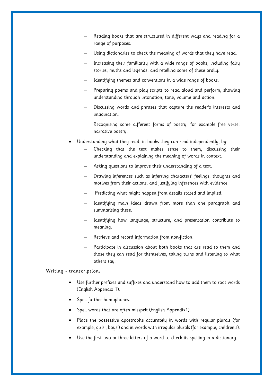- ̶ Reading books that are structured in different ways and reading for a range of purposes.
- Using dictionaries to check the meaning of words that they have read.
- Increasing their familiarity with a wide range of books, including fairy stories, myths and legends, and retelling some of these orally.
- Identifying themes and conventions in a wide range of books.
- ̶ Preparing poems and play scripts to read aloud and perform, showing understanding through intonation, tone, volume and action.
- ̶ Discussing words and phrases that capture the reader's interests and imagination.
- ̶ Recognising some different forms of poetry, for example free verse, narrative poetry.
- Understanding what they read, in books they can read independently, by:
	- ̶ Checking that the text makes sense to them, discussing their understanding and explaining the meaning of words in context.
	- ̶ Asking questions to improve their understanding of a text.
	- ̶ Drawing inferences such as inferring characters' feelings, thoughts and motives from their actions, and justifying inferences with evidence.
	- ̶ Predicting what might happen from details stated and implied.
	- ̶ Identifying main ideas drawn from more than one paragraph and summarising these.
	- ̶ Identifying how language, structure, and presentation contribute to meaning.
	- ̶ Retrieve and record information from non-fiction.
	- ̶ Participate in discussion about both books that are read to them and those they can read for themselves, taking turns and listening to what others say.

#### Writing - transcription:

- Use further prefixes and suffixes and understand how to add them to root words (English Appendix 1).
- Spell further homophones.
- Spell words that are often misspelt (English Appendix1).
- Place the possessive apostrophe accurately in words with regular plurals (for example, girls', boys') and in words with irregular plurals (for example, children's).
- Use the first two or three letters of a word to check its spelling in a dictionary.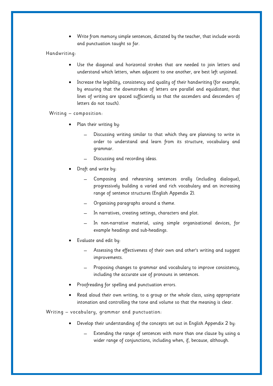Write from memory simple sentences, dictated by the teacher, that include words and punctuation taught so far.

Handwriting:

- Use the diagonal and horizontal strokes that are needed to join letters and understand which letters, when adjacent to one another, are best left unjoined.
- Increase the legibility, consistency and quality of their handwriting (for example, by ensuring that the downstrokes of letters are parallel and equidistant; that lines of writing are spaced sufficiently so that the ascenders and descenders of letters do not touch).

Writing – composition:

- Plan their writing by:
	- ̶ Discussing writing similar to that which they are planning to write in order to understand and learn from its structure, vocabulary and grammar.
	- ̶ Discussing and recording ideas.
- Draft and write by:
	- ̶ Composing and rehearsing sentences orally (including dialogue), progressively building a varied and rich vocabulary and an increasing range of sentence structures (English Appendix 2).
	- ̶ Organising paragraphs around a theme.
	- ̶ In narratives, creating settings, characters and plot.
	- ̶ In non-narrative material, using simple organisational devices, for example headings and sub-headings.
- Evaluate and edit by:
	- ̶ Assessing the effectiveness of their own and other's writing and suggest improvements.
	- ̶ Proposing changes to grammar and vocabulary to improve consistency, including the accurate use of pronouns in sentences.
- Proofreading for spelling and punctuation errors.
- Read aloud their own writing, to a group or the whole class, using appropriate intonation and controlling the tone and volume so that the meaning is clear.

Writing – vocabulary, grammar and punctuation:

- Develop their understanding of the concepts set out in English Appendix 2 by:
	- Extending the range of sentences with more than one clause by using a wider range of conjunctions, including when, if, because, although.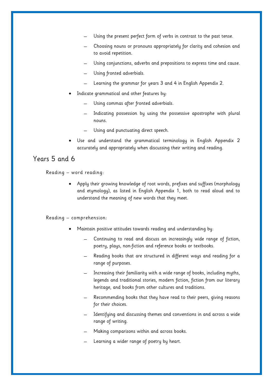- Using the present perfect form of verbs in contrast to the past tense.
- ̶ Choosing nouns or pronouns appropriately for clarity and cohesion and to avoid repetition.
- Using conjunctions, adverbs and prepositions to express time and cause.
- Using fronted adverbials.
- ̶ Learning the grammar for years 3 and 4 in English Appendix 2.
- Indicate grammatical and other features by:
	- Using commas after fronted adverbials.
	- ̶ Indicating possession by using the possessive apostrophe with plural nouns.
	- Using and punctuating direct speech.
- Use and understand the grammatical terminology in English Appendix 2 accurately and appropriately when discussing their writing and reading.

# Years 5 and 6

Reading – word reading:

 Apply their growing knowledge of root words, prefixes and suffixes (morphology and etymology), as listed in English Appendix 1, both to read aloud and to understand the meaning of new words that they meet.

Reading – comprehension:

- Maintain positive attitudes towards reading and understanding by:
	- ̶ Continuing to read and discuss an increasingly wide range of fiction, poetry, plays, non-fiction and reference books or textbooks.
	- ̶ Reading books that are structured in different ways and reading for a range of purposes.
	- ̶ Increasing their familiarity with a wide range of books, including myths, legends and traditional stories, modern fiction, fiction from our literary heritage, and books from other cultures and traditions.
	- ̶ Recommending books that they have read to their peers, giving reasons for their choices.
	- ̶ Identifying and discussing themes and conventions in and across a wide range of writing.
	- ̶ Making comparisons within and across books.
	- Learning a wider range of poetry by heart.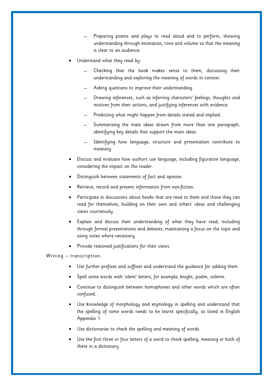- ̶ Preparing poems and plays to read aloud and to perform, showing understanding through intonation, tone and volume so that the meaning is clear to an audience.
- Understand what they read by:
	- ̶ Checking that the book makes sense to them, discussing their understanding and exploring the meaning of words in context.
	- Asking questions to improve their understanding.
	- ̶ Drawing inferences, such as inferring characters' feelings, thoughts and motives from their actions, and justifying inferences with evidence.
	- ̶ Predicting what might happen from details stated and implied.
	- Summarising the main ideas drawn from more than one paragraph, identifying key details that support the main ideas.
	- ̶ Identifying how language, structure and presentation contribute to meaning.
- Discuss and evaluate how authors use language, including figurative language, considering the impact on the reader.
- Distinguish between statements of fact and opinion.
- Retrieve, record and present information from non-fiction.
- Participate in discussions about books that are read to them and those they can read for themselves, building on their own and others' ideas and challenging views courteously.
- Explain and discuss their understanding of what they have read, including through formal presentations and debates, maintaining a focus on the topic and using notes where necessary.
- Provide reasoned justifications for their views.

Writing – transcription:

- Use further prefixes and suffixes and understand the guidance for adding them.
- Spell some words with 'silent' letters, for example, knight, psalm, solemn.
- Continue to distinguish between homophones and other words which are often confused.
- Use knowledge of morphology and etymology in spelling and understand that the spelling of some words needs to be learnt specifically, as listed in English Appendix 1.
- Use dictionaries to check the spelling and meaning of words.
- Use the first three or four letters of a word to check spelling, meaning or both of these in a dictionary.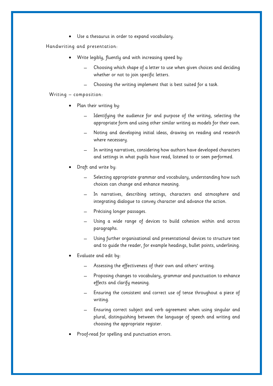Use a thesaurus in order to expand vocabulary.

Handwriting and presentation:

- Write legibly, fluently and with increasing speed by:
	- ̶ Choosing which shape of a letter to use when given choices and deciding whether or not to join specific letters.
	- ̶ Choosing the writing implement that is best suited for a task.

#### Writing – composition:

- Plan their writing by:
	- ̶ Identifying the audience for and purpose of the writing, selecting the appropriate form and using other similar writing as models for their own.
	- ̶ Noting and developing initial ideas, drawing on reading and research where necessary.
	- ̶ In writing narratives, considering how authors have developed characters and settings in what pupils have read, listened to or seen performed.
- Draft and write by:
	- ̶ Selecting appropriate grammar and vocabulary, understanding how such choices can change and enhance meaning.
	- ̶ In narratives, describing settings, characters and atmosphere and integrating dialogue to convey character and advance the action.
	- ̶ Précising longer passages.
	- ̶ Using a wide range of devices to build cohesion within and across paragraphs.
	- Using further organisational and presentational devices to structure text and to guide the reader, for example headings, bullet points, underlining.
- Evaluate and edit by:
	- Assessing the effectiveness of their own and others' writing.
	- ̶ Proposing changes to vocabulary, grammar and punctuation to enhance effects and clarify meaning.
	- ̶ Ensuring the consistent and correct use of tense throughout a piece of writing.
	- ̶ Ensuring correct subject and verb agreement when using singular and plural, distinguishing between the language of speech and writing and choosing the appropriate register.
- Proof-read for spelling and punctuation errors.